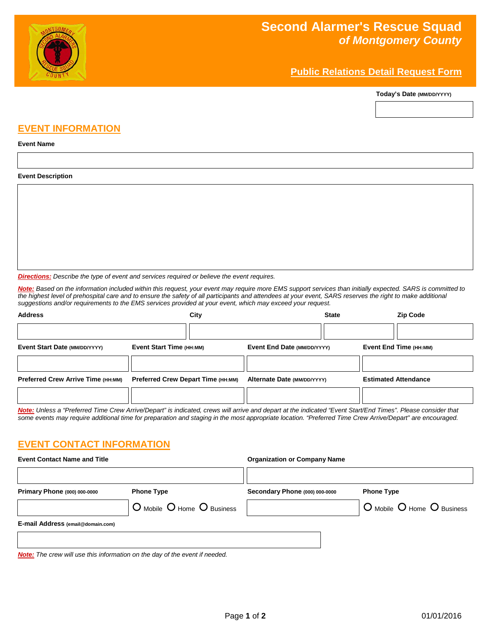

# **Second Alarmer's Rescue Squad** *of Montgomery County*

## **Public Relations Detail Request Form**

**Today's Date (MM/DD/YYYY)**

### **EVENT INFORMATION**

#### **Event Name**

#### **Event Description**

*Directions: Describe the type of event and services required or believe the event requires.*

*Note: Based on the information included within this request, your event may require more EMS support services than initially expected. SARS is committed to the highest level of prehospital care and to ensure the safety of all participants and attendees at your event, SARS reserves the right to make additional suggestions and/or requirements to the EMS services provided at your event, which may exceed your request.*

| <b>Address</b>                                                                                                                                                 | City                                      |                             | <b>State</b> | <b>Zip Code</b>             |
|----------------------------------------------------------------------------------------------------------------------------------------------------------------|-------------------------------------------|-----------------------------|--------------|-----------------------------|
|                                                                                                                                                                |                                           |                             |              |                             |
| Event Start Date (MM/DD/YYYY)                                                                                                                                  | Event Start Time (HH:MM)                  | Event End Date (MM/DD/YYYY) |              | Event End Time (HH:MM)      |
|                                                                                                                                                                |                                           |                             |              |                             |
| <b>Preferred Crew Arrive Time (HH:MM)</b>                                                                                                                      | <b>Preferred Crew Depart Time (HH:MM)</b> | Alternate Date (MM/DD/YYYY) |              | <b>Estimated Attendance</b> |
|                                                                                                                                                                |                                           |                             |              |                             |
| Nets: Unlass a "Dustained Time Onen Amira (Denout) is indicated annua will amire and denout at the indicated "Exert Otent (Food Times)". Disease agreeidenthat |                                           |                             |              |                             |

*Note: Unless a "Preferred Time Crew Arrive/Depart" is indicated, crews will arrive and depart at the indicated "Event Start/End Times". Please consider that some events may require additional time for preparation and staging in the most appropriate location. "Preferred Time Crew Arrive/Depart" are encouraged.*

### **EVENT CONTACT INFORMATION**

| <b>Event Contact Name and Title</b>                                                |                            | <b>Organization or Company Name</b> |                            |
|------------------------------------------------------------------------------------|----------------------------|-------------------------------------|----------------------------|
| Primary Phone (000) 000-0000                                                       | <b>Phone Type</b>          | Secondary Phone (000) 000-0000      | <b>Phone Type</b>          |
|                                                                                    | O Mobile O Home O Business |                                     | O Mobile O Home O Business |
| E-mail Address (email@domain.com)                                                  |                            |                                     |                            |
|                                                                                    |                            |                                     |                            |
| <b>Note:</b> The crew will use this information on the day of the event if needed. |                            |                                     |                            |